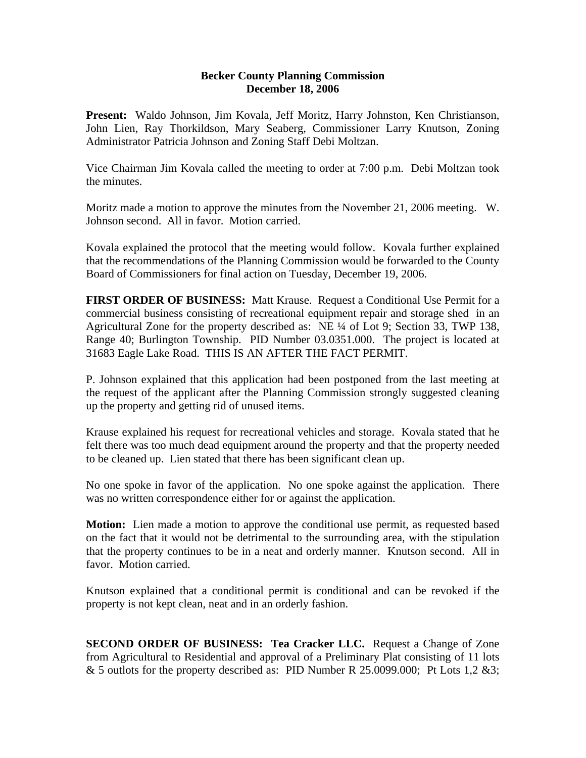## **Becker County Planning Commission December 18, 2006**

**Present:** Waldo Johnson, Jim Kovala, Jeff Moritz, Harry Johnston, Ken Christianson, John Lien, Ray Thorkildson, Mary Seaberg, Commissioner Larry Knutson, Zoning Administrator Patricia Johnson and Zoning Staff Debi Moltzan.

Vice Chairman Jim Kovala called the meeting to order at 7:00 p.m. Debi Moltzan took the minutes.

Moritz made a motion to approve the minutes from the November 21, 2006 meeting. W. Johnson second. All in favor. Motion carried.

Kovala explained the protocol that the meeting would follow. Kovala further explained that the recommendations of the Planning Commission would be forwarded to the County Board of Commissioners for final action on Tuesday, December 19, 2006.

**FIRST ORDER OF BUSINESS:** Matt Krause.Request a Conditional Use Permit for a commercial business consisting of recreational equipment repair and storage shed in an Agricultural Zone for the property described as: NE ¼ of Lot 9; Section 33, TWP 138, Range 40; Burlington Township. PID Number 03.0351.000. The project is located at 31683 Eagle Lake Road. THIS IS AN AFTER THE FACT PERMIT.

P. Johnson explained that this application had been postponed from the last meeting at the request of the applicant after the Planning Commission strongly suggested cleaning up the property and getting rid of unused items.

Krause explained his request for recreational vehicles and storage. Kovala stated that he felt there was too much dead equipment around the property and that the property needed to be cleaned up. Lien stated that there has been significant clean up.

No one spoke in favor of the application. No one spoke against the application. There was no written correspondence either for or against the application.

**Motion:** Lien made a motion to approve the conditional use permit, as requested based on the fact that it would not be detrimental to the surrounding area, with the stipulation that the property continues to be in a neat and orderly manner. Knutson second. All in favor. Motion carried.

Knutson explained that a conditional permit is conditional and can be revoked if the property is not kept clean, neat and in an orderly fashion.

**SECOND ORDER OF BUSINESS: Tea Cracker LLC.** Request a Change of Zone from Agricultural to Residential and approval of a Preliminary Plat consisting of 11 lots  $&$  5 outlots for the property described as: PID Number R 25.0099.000; Pt Lots 1,2  $&$ 3;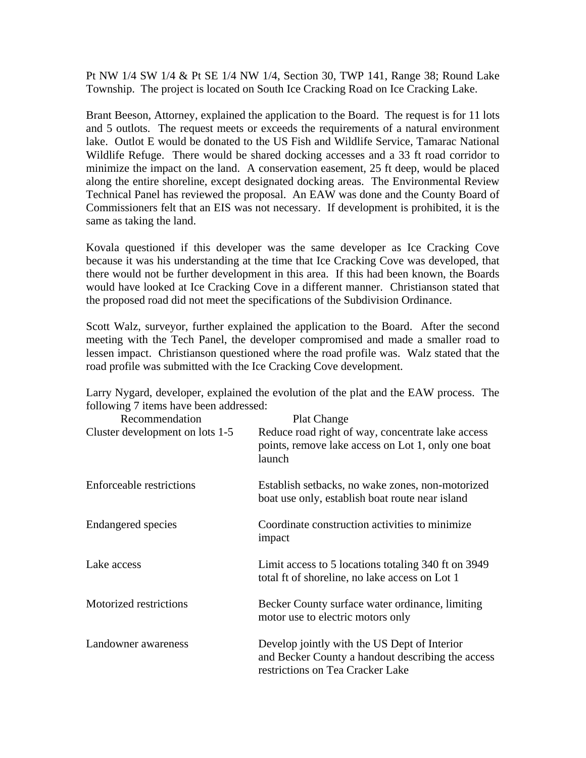Pt NW 1/4 SW 1/4 & Pt SE 1/4 NW 1/4, Section 30, TWP 141, Range 38; Round Lake Township. The project is located on South Ice Cracking Road on Ice Cracking Lake.

Brant Beeson, Attorney, explained the application to the Board. The request is for 11 lots and 5 outlots. The request meets or exceeds the requirements of a natural environment lake. Outlot E would be donated to the US Fish and Wildlife Service, Tamarac National Wildlife Refuge. There would be shared docking accesses and a 33 ft road corridor to minimize the impact on the land. A conservation easement, 25 ft deep, would be placed along the entire shoreline, except designated docking areas. The Environmental Review Technical Panel has reviewed the proposal. An EAW was done and the County Board of Commissioners felt that an EIS was not necessary. If development is prohibited, it is the same as taking the land.

Kovala questioned if this developer was the same developer as Ice Cracking Cove because it was his understanding at the time that Ice Cracking Cove was developed, that there would not be further development in this area. If this had been known, the Boards would have looked at Ice Cracking Cove in a different manner. Christianson stated that the proposed road did not meet the specifications of the Subdivision Ordinance.

Scott Walz, surveyor, further explained the application to the Board. After the second meeting with the Tech Panel, the developer compromised and made a smaller road to lessen impact. Christianson questioned where the road profile was. Walz stated that the road profile was submitted with the Ice Cracking Cove development.

|                                        | Larry Nygard, developer, explained the evolution of the plat and the EAW process. The |  |
|----------------------------------------|---------------------------------------------------------------------------------------|--|
| following 7 items have been addressed: |                                                                                       |  |
| Recommendation                         | Plat Chanca                                                                           |  |

| Recommendation                  | <b>Plat Change</b>                                                                                                                    |
|---------------------------------|---------------------------------------------------------------------------------------------------------------------------------------|
| Cluster development on lots 1-5 | Reduce road right of way, concentrate lake access<br>points, remove lake access on Lot 1, only one boat<br>launch                     |
| Enforceable restrictions        | Establish setbacks, no wake zones, non-motorized<br>boat use only, establish boat route near island                                   |
| Endangered species              | Coordinate construction activities to minimize<br>impact                                                                              |
| Lake access                     | Limit access to 5 locations totaling 340 ft on 3949<br>total ft of shoreline, no lake access on Lot 1                                 |
| Motorized restrictions          | Becker County surface water ordinance, limiting<br>motor use to electric motors only                                                  |
| Landowner awareness             | Develop jointly with the US Dept of Interior<br>and Becker County a handout describing the access<br>restrictions on Tea Cracker Lake |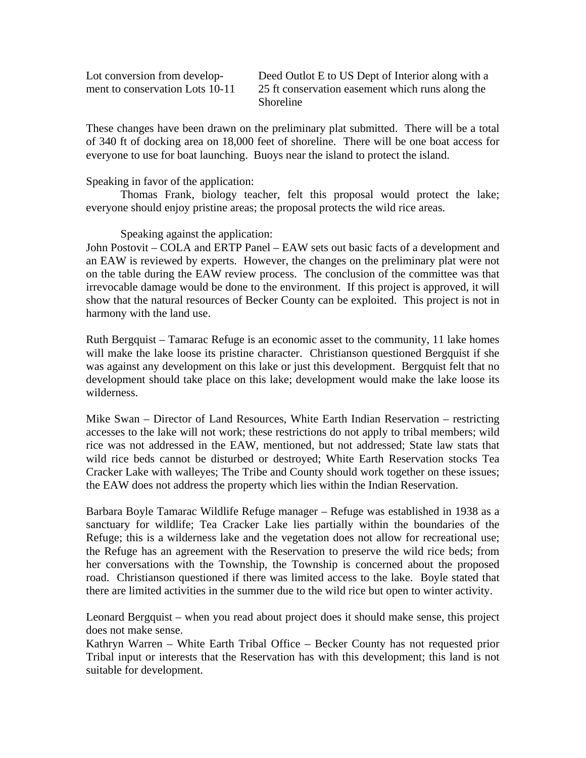| Lot conversion from develop-    | Deed Outlot E to US Dept of Interior along with a |
|---------------------------------|---------------------------------------------------|
| ment to conservation Lots 10-11 | 25 ft conservation easement which runs along the  |
|                                 | Shoreline                                         |

These changes have been drawn on the preliminary plat submitted. There will be a total of 340 ft of docking area on 18,000 feet of shoreline. There will be one boat access for everyone to use for boat launching. Buoys near the island to protect the island.

## Speaking in favor of the application:

Thomas Frank, biology teacher, felt this proposal would protect the lake; everyone should enjoy pristine areas; the proposal protects the wild rice areas.

## Speaking against the application:

John Postovit – COLA and ERTP Panel – EAW sets out basic facts of a development and an EAW is reviewed by experts. However, the changes on the preliminary plat were not on the table during the EAW review process. The conclusion of the committee was that irrevocable damage would be done to the environment. If this project is approved, it will show that the natural resources of Becker County can be exploited. This project is not in harmony with the land use.

Ruth Bergquist – Tamarac Refuge is an economic asset to the community, 11 lake homes will make the lake loose its pristine character. Christianson questioned Bergquist if she was against any development on this lake or just this development. Bergquist felt that no development should take place on this lake; development would make the lake loose its wilderness.

Mike Swan – Director of Land Resources, White Earth Indian Reservation – restricting accesses to the lake will not work; these restrictions do not apply to tribal members; wild rice was not addressed in the EAW, mentioned, but not addressed; State law stats that wild rice beds cannot be disturbed or destroyed; White Earth Reservation stocks Tea Cracker Lake with walleyes; The Tribe and County should work together on these issues; the EAW does not address the property which lies within the Indian Reservation.

Barbara Boyle Tamarac Wildlife Refuge manager – Refuge was established in 1938 as a sanctuary for wildlife; Tea Cracker Lake lies partially within the boundaries of the Refuge; this is a wilderness lake and the vegetation does not allow for recreational use; the Refuge has an agreement with the Reservation to preserve the wild rice beds; from her conversations with the Township, the Township is concerned about the proposed road. Christianson questioned if there was limited access to the lake. Boyle stated that there are limited activities in the summer due to the wild rice but open to winter activity.

Leonard Bergquist – when you read about project does it should make sense, this project does not make sense.

Kathryn Warren – White Earth Tribal Office – Becker County has not requested prior Tribal input or interests that the Reservation has with this development; this land is not suitable for development.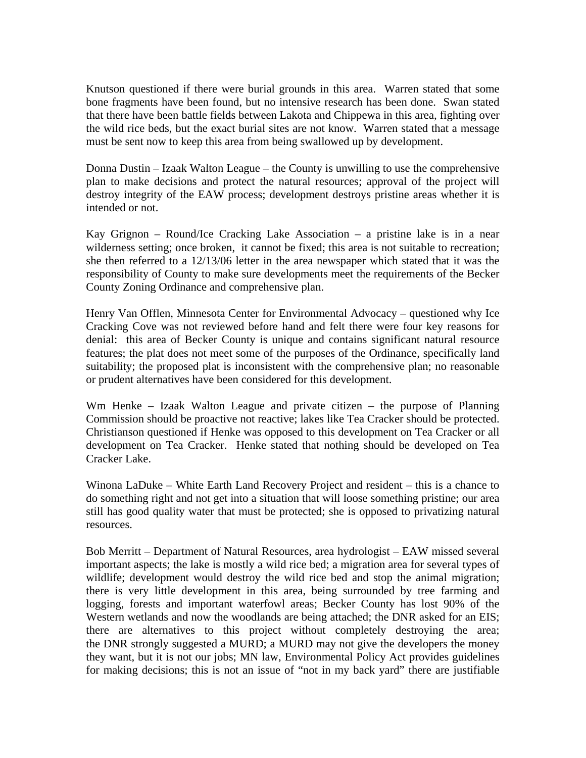Knutson questioned if there were burial grounds in this area. Warren stated that some bone fragments have been found, but no intensive research has been done. Swan stated that there have been battle fields between Lakota and Chippewa in this area, fighting over the wild rice beds, but the exact burial sites are not know. Warren stated that a message must be sent now to keep this area from being swallowed up by development.

Donna Dustin – Izaak Walton League – the County is unwilling to use the comprehensive plan to make decisions and protect the natural resources; approval of the project will destroy integrity of the EAW process; development destroys pristine areas whether it is intended or not.

Kay Grignon – Round/Ice Cracking Lake Association – a pristine lake is in a near wilderness setting; once broken, it cannot be fixed; this area is not suitable to recreation; she then referred to a 12/13/06 letter in the area newspaper which stated that it was the responsibility of County to make sure developments meet the requirements of the Becker County Zoning Ordinance and comprehensive plan.

Henry Van Offlen, Minnesota Center for Environmental Advocacy – questioned why Ice Cracking Cove was not reviewed before hand and felt there were four key reasons for denial: this area of Becker County is unique and contains significant natural resource features; the plat does not meet some of the purposes of the Ordinance, specifically land suitability; the proposed plat is inconsistent with the comprehensive plan; no reasonable or prudent alternatives have been considered for this development.

Wm Henke – Izaak Walton League and private citizen – the purpose of Planning Commission should be proactive not reactive; lakes like Tea Cracker should be protected. Christianson questioned if Henke was opposed to this development on Tea Cracker or all development on Tea Cracker. Henke stated that nothing should be developed on Tea Cracker Lake.

Winona LaDuke – White Earth Land Recovery Project and resident – this is a chance to do something right and not get into a situation that will loose something pristine; our area still has good quality water that must be protected; she is opposed to privatizing natural resources.

Bob Merritt – Department of Natural Resources, area hydrologist – EAW missed several important aspects; the lake is mostly a wild rice bed; a migration area for several types of wildlife; development would destroy the wild rice bed and stop the animal migration; there is very little development in this area, being surrounded by tree farming and logging, forests and important waterfowl areas; Becker County has lost 90% of the Western wetlands and now the woodlands are being attached; the DNR asked for an EIS; there are alternatives to this project without completely destroying the area; the DNR strongly suggested a MURD; a MURD may not give the developers the money they want, but it is not our jobs; MN law, Environmental Policy Act provides guidelines for making decisions; this is not an issue of "not in my back yard" there are justifiable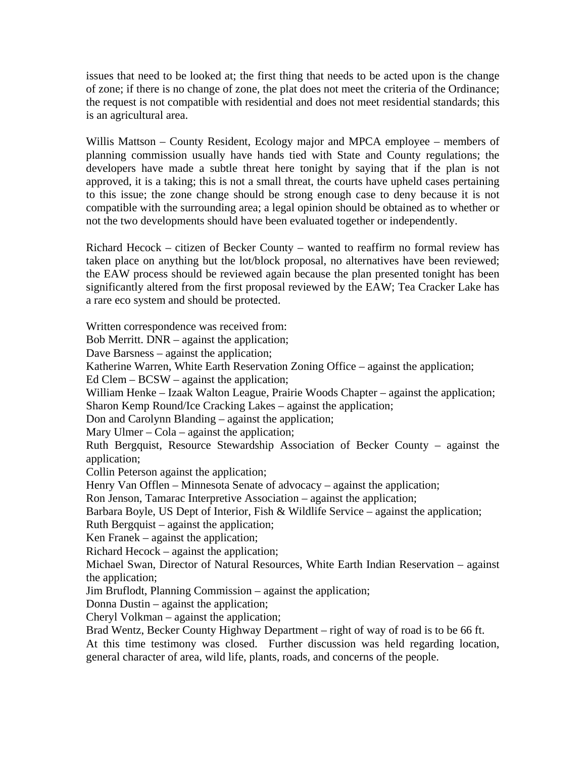issues that need to be looked at; the first thing that needs to be acted upon is the change of zone; if there is no change of zone, the plat does not meet the criteria of the Ordinance; the request is not compatible with residential and does not meet residential standards; this is an agricultural area.

Willis Mattson – County Resident, Ecology major and MPCA employee – members of planning commission usually have hands tied with State and County regulations; the developers have made a subtle threat here tonight by saying that if the plan is not approved, it is a taking; this is not a small threat, the courts have upheld cases pertaining to this issue; the zone change should be strong enough case to deny because it is not compatible with the surrounding area; a legal opinion should be obtained as to whether or not the two developments should have been evaluated together or independently.

Richard Hecock – citizen of Becker County – wanted to reaffirm no formal review has taken place on anything but the lot/block proposal, no alternatives have been reviewed; the EAW process should be reviewed again because the plan presented tonight has been significantly altered from the first proposal reviewed by the EAW; Tea Cracker Lake has a rare eco system and should be protected.

Written correspondence was received from: Bob Merritt. DNR – against the application; Dave Barsness – against the application; Katherine Warren, White Earth Reservation Zoning Office – against the application; Ed Clem – BCSW – against the application; William Henke – Izaak Walton League, Prairie Woods Chapter – against the application; Sharon Kemp Round/Ice Cracking Lakes – against the application; Don and Carolynn Blanding – against the application; Mary Ulmer – Cola – against the application; Ruth Bergquist, Resource Stewardship Association of Becker County – against the application; Collin Peterson against the application; Henry Van Offlen – Minnesota Senate of advocacy – against the application; Ron Jenson, Tamarac Interpretive Association – against the application; Barbara Boyle, US Dept of Interior, Fish & Wildlife Service – against the application; Ruth Bergquist – against the application; Ken Franek – against the application; Richard Hecock – against the application; Michael Swan, Director of Natural Resources, White Earth Indian Reservation – against the application; Jim Bruflodt, Planning Commission – against the application; Donna Dustin – against the application; Cheryl Volkman – against the application; Brad Wentz, Becker County Highway Department – right of way of road is to be 66 ft. At this time testimony was closed. Further discussion was held regarding location, general character of area, wild life, plants, roads, and concerns of the people.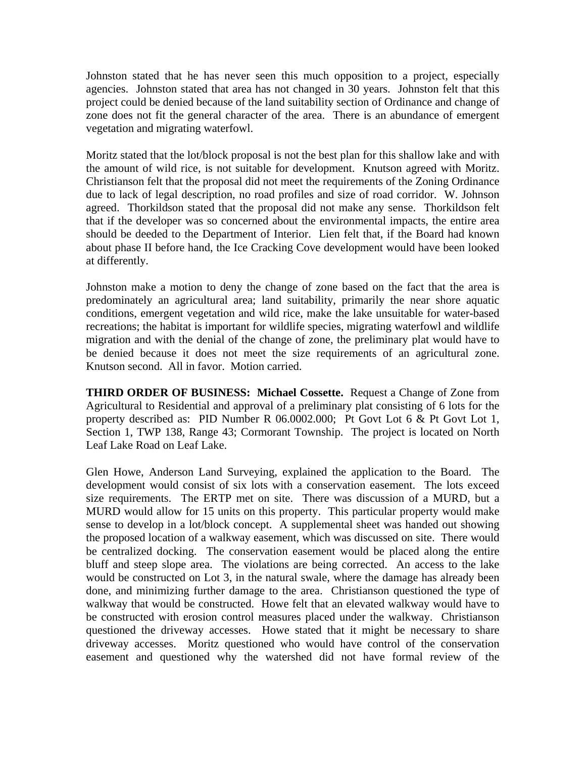Johnston stated that he has never seen this much opposition to a project, especially agencies. Johnston stated that area has not changed in 30 years. Johnston felt that this project could be denied because of the land suitability section of Ordinance and change of zone does not fit the general character of the area. There is an abundance of emergent vegetation and migrating waterfowl.

Moritz stated that the lot/block proposal is not the best plan for this shallow lake and with the amount of wild rice, is not suitable for development. Knutson agreed with Moritz. Christianson felt that the proposal did not meet the requirements of the Zoning Ordinance due to lack of legal description, no road profiles and size of road corridor. W. Johnson agreed. Thorkildson stated that the proposal did not make any sense. Thorkildson felt that if the developer was so concerned about the environmental impacts, the entire area should be deeded to the Department of Interior. Lien felt that, if the Board had known about phase II before hand, the Ice Cracking Cove development would have been looked at differently.

Johnston make a motion to deny the change of zone based on the fact that the area is predominately an agricultural area; land suitability, primarily the near shore aquatic conditions, emergent vegetation and wild rice, make the lake unsuitable for water-based recreations; the habitat is important for wildlife species, migrating waterfowl and wildlife migration and with the denial of the change of zone, the preliminary plat would have to be denied because it does not meet the size requirements of an agricultural zone. Knutson second. All in favor. Motion carried.

**THIRD ORDER OF BUSINESS: Michael Cossette.** Request a Change of Zone from Agricultural to Residential and approval of a preliminary plat consisting of 6 lots for the property described as: PID Number R 06.0002.000; Pt Govt Lot 6 & Pt Govt Lot 1, Section 1, TWP 138, Range 43; Cormorant Township. The project is located on North Leaf Lake Road on Leaf Lake.

Glen Howe, Anderson Land Surveying, explained the application to the Board. The development would consist of six lots with a conservation easement. The lots exceed size requirements. The ERTP met on site. There was discussion of a MURD, but a MURD would allow for 15 units on this property. This particular property would make sense to develop in a lot/block concept. A supplemental sheet was handed out showing the proposed location of a walkway easement, which was discussed on site. There would be centralized docking. The conservation easement would be placed along the entire bluff and steep slope area. The violations are being corrected. An access to the lake would be constructed on Lot 3, in the natural swale, where the damage has already been done, and minimizing further damage to the area. Christianson questioned the type of walkway that would be constructed. Howe felt that an elevated walkway would have to be constructed with erosion control measures placed under the walkway. Christianson questioned the driveway accesses. Howe stated that it might be necessary to share driveway accesses. Moritz questioned who would have control of the conservation easement and questioned why the watershed did not have formal review of the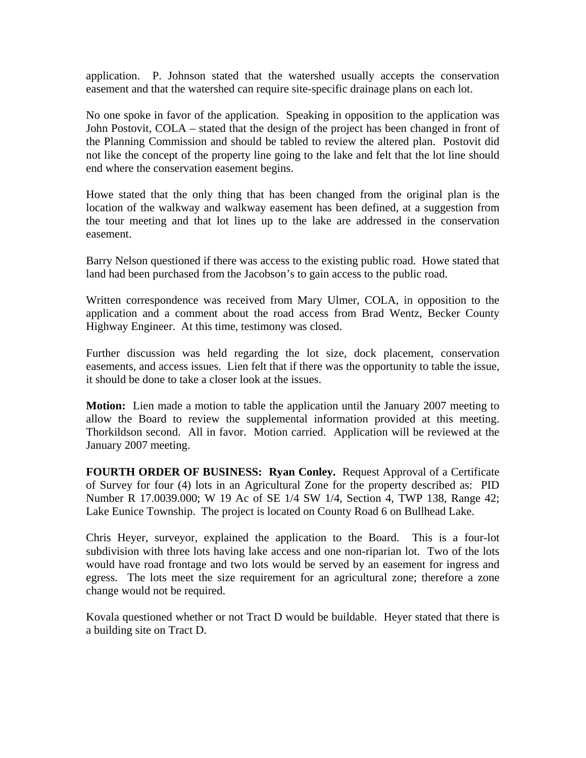application. P. Johnson stated that the watershed usually accepts the conservation easement and that the watershed can require site-specific drainage plans on each lot.

No one spoke in favor of the application. Speaking in opposition to the application was John Postovit, COLA – stated that the design of the project has been changed in front of the Planning Commission and should be tabled to review the altered plan. Postovit did not like the concept of the property line going to the lake and felt that the lot line should end where the conservation easement begins.

Howe stated that the only thing that has been changed from the original plan is the location of the walkway and walkway easement has been defined, at a suggestion from the tour meeting and that lot lines up to the lake are addressed in the conservation easement.

Barry Nelson questioned if there was access to the existing public road. Howe stated that land had been purchased from the Jacobson's to gain access to the public road.

Written correspondence was received from Mary Ulmer, COLA, in opposition to the application and a comment about the road access from Brad Wentz, Becker County Highway Engineer. At this time, testimony was closed.

Further discussion was held regarding the lot size, dock placement, conservation easements, and access issues. Lien felt that if there was the opportunity to table the issue, it should be done to take a closer look at the issues.

**Motion:** Lien made a motion to table the application until the January 2007 meeting to allow the Board to review the supplemental information provided at this meeting. Thorkildson second. All in favor. Motion carried. Application will be reviewed at the January 2007 meeting.

**FOURTH ORDER OF BUSINESS: Ryan Conley.** Request Approval of a Certificate of Survey for four (4) lots in an Agricultural Zone for the property described as: PID Number R 17.0039.000; W 19 Ac of SE 1/4 SW 1/4, Section 4, TWP 138, Range 42; Lake Eunice Township. The project is located on County Road 6 on Bullhead Lake.

Chris Heyer, surveyor, explained the application to the Board. This is a four-lot subdivision with three lots having lake access and one non-riparian lot. Two of the lots would have road frontage and two lots would be served by an easement for ingress and egress. The lots meet the size requirement for an agricultural zone; therefore a zone change would not be required.

Kovala questioned whether or not Tract D would be buildable. Heyer stated that there is a building site on Tract D.